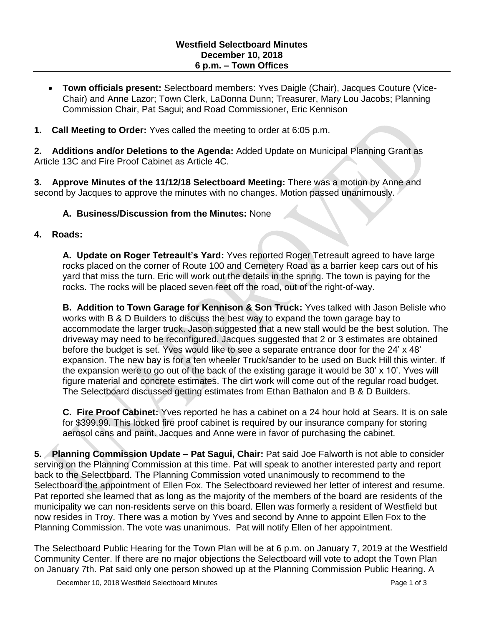- **Town officials present:** Selectboard members: Yves Daigle (Chair), Jacques Couture (Vice-Chair) and Anne Lazor; Town Clerk, LaDonna Dunn; Treasurer, Mary Lou Jacobs; Planning Commission Chair, Pat Sagui; and Road Commissioner, Eric Kennison
- **1. Call Meeting to Order:** Yves called the meeting to order at 6:05 p.m.

**2. Additions and/or Deletions to the Agenda:** Added Update on Municipal Planning Grant as Article 13C and Fire Proof Cabinet as Article 4C.

**3. Approve Minutes of the 11/12/18 Selectboard Meeting:** There was a motion by Anne and second by Jacques to approve the minutes with no changes. Motion passed unanimously.

### **A. Business/Discussion from the Minutes:** None

#### **4. Roads:**

**A. Update on Roger Tetreault's Yard:** Yves reported Roger Tetreault agreed to have large rocks placed on the corner of Route 100 and Cemetery Road as a barrier keep cars out of his yard that miss the turn. Eric will work out the details in the spring. The town is paying for the rocks. The rocks will be placed seven feet off the road, out of the right-of-way.

**B. Addition to Town Garage for Kennison & Son Truck:** Yves talked with Jason Belisle who works with B & D Builders to discuss the best way to expand the town garage bay to accommodate the larger truck. Jason suggested that a new stall would be the best solution. The driveway may need to be reconfigured. Jacques suggested that 2 or 3 estimates are obtained before the budget is set. Yves would like to see a separate entrance door for the 24' x 48' expansion. The new bay is for a ten wheeler Truck/sander to be used on Buck Hill this winter. If the expansion were to go out of the back of the existing garage it would be 30' x 10'. Yves will figure material and concrete estimates. The dirt work will come out of the regular road budget. The Selectboard discussed getting estimates from Ethan Bathalon and B & D Builders.

**C. Fire Proof Cabinet:** Yves reported he has a cabinet on a 24 hour hold at Sears. It is on sale for \$399.99. This locked fire proof cabinet is required by our insurance company for storing aerosol cans and paint. Jacques and Anne were in favor of purchasing the cabinet.

**5. Planning Commission Update – Pat Sagui, Chair:** Pat said Joe Falworth is not able to consider serving on the Planning Commission at this time. Pat will speak to another interested party and report back to the Selectboard. The Planning Commission voted unanimously to recommend to the Selectboard the appointment of Ellen Fox. The Selectboard reviewed her letter of interest and resume. Pat reported she learned that as long as the majority of the members of the board are residents of the municipality we can non-residents serve on this board. Ellen was formerly a resident of Westfield but now resides in Troy. There was a motion by Yves and second by Anne to appoint Ellen Fox to the Planning Commission. The vote was unanimous. Pat will notify Ellen of her appointment.

The Selectboard Public Hearing for the Town Plan will be at 6 p.m. on January 7, 2019 at the Westfield Community Center. If there are no major objections the Selectboard will vote to adopt the Town Plan on January 7th. Pat said only one person showed up at the Planning Commission Public Hearing. A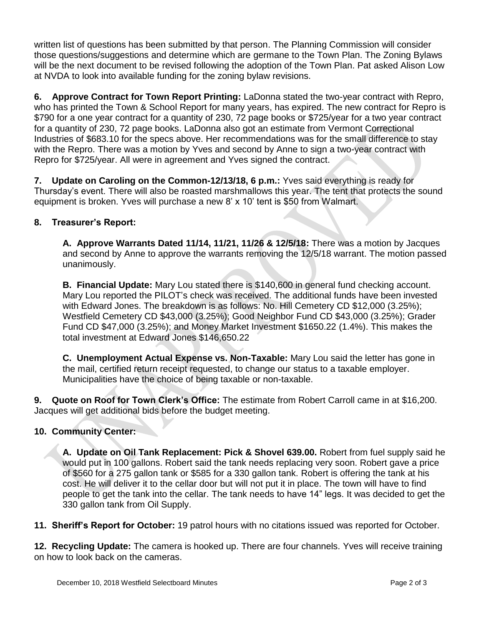written list of questions has been submitted by that person. The Planning Commission will consider those questions/suggestions and determine which are germane to the Town Plan. The Zoning Bylaws will be the next document to be revised following the adoption of the Town Plan. Pat asked Alison Low at NVDA to look into available funding for the zoning bylaw revisions.

**6. Approve Contract for Town Report Printing:** LaDonna stated the two-year contract with Repro, who has printed the Town & School Report for many years, has expired. The new contract for Repro is \$790 for a one year contract for a quantity of 230, 72 page books or \$725/year for a two year contract for a quantity of 230, 72 page books. LaDonna also got an estimate from Vermont Correctional Industries of \$683.10 for the specs above. Her recommendations was for the small difference to stay with the Repro. There was a motion by Yves and second by Anne to sign a two-year contract with Repro for \$725/year. All were in agreement and Yves signed the contract.

**7. Update on Caroling on the Common-12/13/18, 6 p.m.:** Yves said everything is ready for Thursday's event. There will also be roasted marshmallows this year. The tent that protects the sound equipment is broken. Yves will purchase a new 8' x 10' tent is \$50 from Walmart.

# **8. Treasurer's Report:**

**A. Approve Warrants Dated 11/14, 11/21, 11/26 & 12/5/18:** There was a motion by Jacques and second by Anne to approve the warrants removing the 12/5/18 warrant. The motion passed unanimously.

**B. Financial Update:** Mary Lou stated there is \$140,600 in general fund checking account. Mary Lou reported the PILOT's check was received. The additional funds have been invested with Edward Jones. The breakdown is as follows: No. Hill Cemetery CD \$12,000 (3.25%); Westfield Cemetery CD \$43,000 (3.25%); Good Neighbor Fund CD \$43,000 (3.25%); Grader Fund CD \$47,000 (3.25%); and Money Market Investment \$1650.22 (1.4%). This makes the total investment at Edward Jones \$146,650.22

**C. Unemployment Actual Expense vs. Non-Taxable:** Mary Lou said the letter has gone in the mail, certified return receipt requested, to change our status to a taxable employer. Municipalities have the choice of being taxable or non-taxable.

**9. Quote on Roof for Town Clerk's Office:** The estimate from Robert Carroll came in at \$16,200. Jacques will get additional bids before the budget meeting.

# **10. Community Center:**

**A. Update on Oil Tank Replacement: Pick & Shovel 639.00.** Robert from fuel supply said he would put in 100 gallons. Robert said the tank needs replacing very soon. Robert gave a price of \$560 for a 275 gallon tank or \$585 for a 330 gallon tank. Robert is offering the tank at his cost. He will deliver it to the cellar door but will not put it in place. The town will have to find people to get the tank into the cellar. The tank needs to have 14" legs. It was decided to get the 330 gallon tank from Oil Supply.

**11. Sheriff's Report for October:** 19 patrol hours with no citations issued was reported for October.

**12. Recycling Update:** The camera is hooked up. There are four channels. Yves will receive training on how to look back on the cameras.